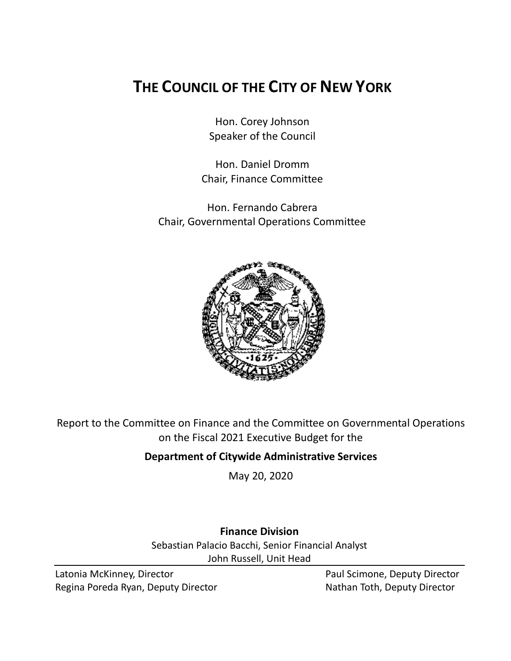# **THE COUNCIL OF THE CITY OF NEW YORK**

Hon. Corey Johnson Speaker of the Council

Hon. Daniel Dromm Chair, Finance Committee

Hon. Fernando Cabrera Chair, Governmental Operations Committee



Report to the Committee on Finance and the Committee on Governmental Operations on the Fiscal 2021 Executive Budget for the

# **Department of Citywide Administrative Services**

May 20, 2020

# **Finance Division**

Sebastian Palacio Bacchi, Senior Financial Analyst John Russell, Unit Head

Latonia McKinney, Director **Paul Scimone, Deputy Director** Paul Scimone, Deputy Director Regina Poreda Ryan, Deputy Director Nathan Toth, Deputy Director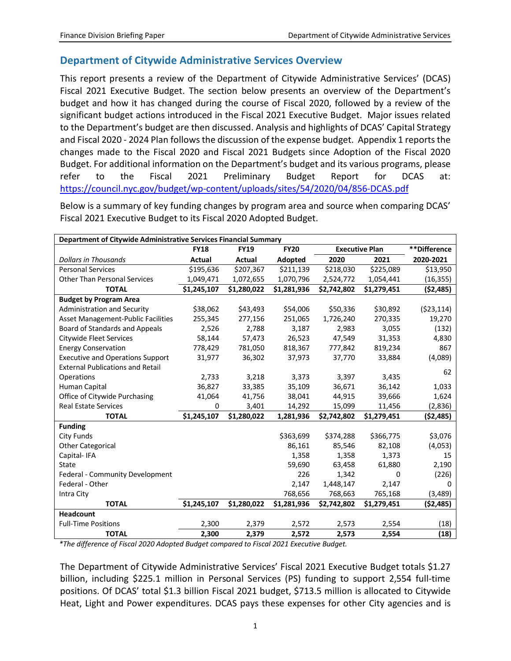# **Department of Citywide Administrative Services Overview**

This report presents a review of the Department of Citywide Administrative Services' (DCAS) Fiscal 2021 Executive Budget. The section below presents an overview of the Department's budget and how it has changed during the course of Fiscal 2020, followed by a review of the significant budget actions introduced in the Fiscal 2021 Executive Budget. Major issues related to the Department's budget are then discussed. Analysis and highlights of DCAS' Capital Strategy and Fiscal 2020 - 2024 Plan follows the discussion of the expense budget. Appendix 1 reports the changes made to the Fiscal 2020 and Fiscal 2021 Budgets since Adoption of the Fiscal 2020 Budget. For additional information on the Department's budget and its various programs, please refer to the Fiscal 2021 Preliminary Budget Report for DCAS at: <https://council.nyc.gov/budget/wp-content/uploads/sites/54/2020/04/856-DCAS.pdf>

Below is a summary of key funding changes by program area and source when comparing DCAS' Fiscal 2021 Executive Budget to its Fiscal 2020 Adopted Budget.

| Department of Citywide Administrative Services Financial Summary |             |             |             |                       |             |              |  |
|------------------------------------------------------------------|-------------|-------------|-------------|-----------------------|-------------|--------------|--|
|                                                                  | <b>FY18</b> | <b>FY19</b> | <b>FY20</b> | <b>Executive Plan</b> |             | **Difference |  |
| <b>Dollars in Thousands</b>                                      | Actual      | Actual      | Adopted     | 2020                  | 2021        | 2020-2021    |  |
| <b>Personal Services</b>                                         | \$195,636   | \$207,367   | \$211,139   | \$218,030             | \$225,089   | \$13,950     |  |
| <b>Other Than Personal Services</b>                              | 1,049,471   | 1,072,655   | 1,070,796   | 2,524,772             | 1,054,441   | (16, 355)    |  |
| <b>TOTAL</b>                                                     | \$1,245,107 | \$1,280,022 | \$1,281,936 | \$2,742,802           | \$1,279,451 | (52, 485)    |  |
| <b>Budget by Program Area</b>                                    |             |             |             |                       |             |              |  |
| Administration and Security                                      | \$38,062    | \$43,493    | \$54,006    | \$50,336              | \$30,892    | ( \$23, 114) |  |
| <b>Asset Management-Public Facilities</b>                        | 255,345     | 277,156     | 251,065     | 1,726,240             | 270,335     | 19,270       |  |
| Board of Standards and Appeals                                   | 2,526       | 2,788       | 3,187       | 2,983                 | 3,055       | (132)        |  |
| <b>Citywide Fleet Services</b>                                   | 58,144      | 57,473      | 26,523      | 47,549                | 31,353      | 4,830        |  |
| <b>Energy Conservation</b>                                       | 778,429     | 781,050     | 818,367     | 777,842               | 819,234     | 867          |  |
| <b>Executive and Operations Support</b>                          | 31,977      | 36,302      | 37,973      | 37,770                | 33,884      | (4,089)      |  |
| <b>External Publications and Retail</b>                          |             |             |             |                       |             | 62           |  |
| Operations                                                       | 2,733       | 3,218       | 3,373       | 3,397                 | 3,435       |              |  |
| Human Capital                                                    | 36,827      | 33,385      | 35,109      | 36,671                | 36,142      | 1,033        |  |
| Office of Citywide Purchasing                                    | 41,064      | 41,756      | 38,041      | 44,915                | 39,666      | 1,624        |  |
| <b>Real Estate Services</b>                                      | 0           | 3,401       | 14,292      | 15,099                | 11,456      | (2,836)      |  |
| <b>TOTAL</b>                                                     | \$1,245,107 | \$1,280,022 | 1,281,936   | \$2,742,802           | \$1,279,451 | ( \$2,485)   |  |
| <b>Funding</b>                                                   |             |             |             |                       |             |              |  |
| City Funds                                                       |             |             | \$363,699   | \$374,288             | \$366,775   | \$3,076      |  |
| <b>Other Categorical</b>                                         |             |             | 86,161      | 85,546                | 82,108      | (4,053)      |  |
| Capital-IFA                                                      |             |             | 1,358       | 1,358                 | 1,373       | 15           |  |
| State                                                            |             |             | 59,690      | 63,458                | 61,880      | 2,190        |  |
| Federal - Community Development                                  |             |             | 226         | 1,342                 | 0           | (226)        |  |
| Federal - Other                                                  |             |             | 2,147       | 1,448,147             | 2,147       | $\Omega$     |  |
| Intra City                                                       |             |             | 768,656     | 768,663               | 765,168     | (3, 489)     |  |
| <b>TOTAL</b>                                                     | \$1,245,107 | \$1,280,022 | \$1,281,936 | \$2,742,802           | \$1,279,451 | ( \$2,485)   |  |
| <b>Headcount</b>                                                 |             |             |             |                       |             |              |  |
| <b>Full-Time Positions</b>                                       | 2,300       | 2,379       | 2,572       | 2,573                 | 2,554       | (18)         |  |
| <b>TOTAL</b>                                                     | 2,300       | 2,379       | 2,572       | 2,573                 | 2,554       | (18)         |  |

*\*The difference of Fiscal 2020 Adopted Budget compared to Fiscal 2021 Executive Budget.*

The Department of Citywide Administrative Services' Fiscal 2021 Executive Budget totals \$1.27 billion, including \$225.1 million in Personal Services (PS) funding to support 2,554 full-time positions. Of DCAS' total \$1.3 billion Fiscal 2021 budget, \$713.5 million is allocated to Citywide Heat, Light and Power expenditures. DCAS pays these expenses for other City agencies and is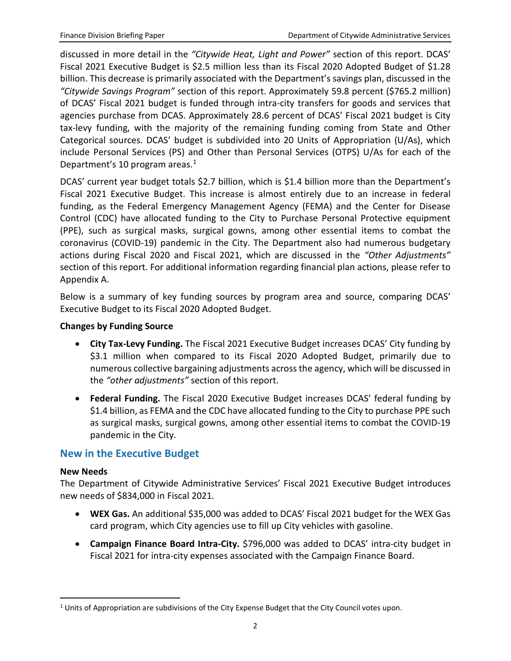discussed in more detail in the *"Citywide Heat, Light and Power"* section of this report. DCAS' Fiscal 2021 Executive Budget is \$2.5 million less than its Fiscal 2020 Adopted Budget of \$1.28 billion. This decrease is primarily associated with the Department's savings plan, discussed in the *"Citywide Savings Program"* section of this report. Approximately 59.8 percent (\$765.2 million) of DCAS' Fiscal 2021 budget is funded through intra-city transfers for goods and services that agencies purchase from DCAS. Approximately 28.6 percent of DCAS' Fiscal 2021 budget is City tax-levy funding, with the majority of the remaining funding coming from State and Other Categorical sources. DCAS' budget is subdivided into 20 Units of Appropriation (U/As), which include Personal Services (PS) and Other than Personal Services (OTPS) U/As for each of the Department's 10 program areas. $1$ 

DCAS' current year budget totals \$2.7 billion, which is \$1.4 billion more than the Department's Fiscal 2021 Executive Budget. This increase is almost entirely due to an increase in federal funding, as the Federal Emergency Management Agency (FEMA) and the Center for Disease Control (CDC) have allocated funding to the City to Purchase Personal Protective equipment (PPE), such as surgical masks, surgical gowns, among other essential items to combat the coronavirus (COVID-19) pandemic in the City. The Department also had numerous budgetary actions during Fiscal 2020 and Fiscal 2021, which are discussed in the *"Other Adjustments"* section of this report. For additional information regarding financial plan actions, please refer to Appendix A.

Below is a summary of key funding sources by program area and source, comparing DCAS' Executive Budget to its Fiscal 2020 Adopted Budget.

### **Changes by Funding Source**

- **City Tax-Levy Funding.** The Fiscal 2021 Executive Budget increases DCAS' City funding by \$3.1 million when compared to its Fiscal 2020 Adopted Budget, primarily due to numerous collective bargaining adjustments across the agency, which will be discussed in the *"other adjustments"* section of this report.
- **Federal Funding.** The Fiscal 2020 Executive Budget increases DCAS' federal funding by \$1.4 billion, as FEMA and the CDC have allocated funding to the City to purchase PPE such as surgical masks, surgical gowns, among other essential items to combat the COVID-19 pandemic in the City.

# **New in the Executive Budget**

### **New Needs**

 $\overline{a}$ 

The Department of Citywide Administrative Services' Fiscal 2021 Executive Budget introduces new needs of \$834,000 in Fiscal 2021.

- **WEX Gas.** An additional \$35,000 was added to DCAS' Fiscal 2021 budget for the WEX Gas card program, which City agencies use to fill up City vehicles with gasoline.
- **Campaign Finance Board Intra-City.** \$796,000 was added to DCAS' intra-city budget in Fiscal 2021 for intra-city expenses associated with the Campaign Finance Board.

<span id="page-2-0"></span> $1$  Units of Appropriation are subdivisions of the City Expense Budget that the City Council votes upon.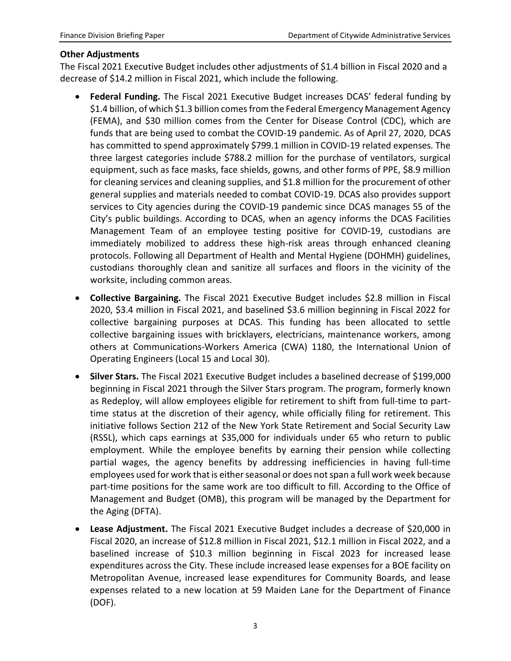#### **Other Adjustments**

The Fiscal 2021 Executive Budget includes other adjustments of \$1.4 billion in Fiscal 2020 and a decrease of \$14.2 million in Fiscal 2021, which include the following.

- **Federal Funding.** The Fiscal 2021 Executive Budget increases DCAS' federal funding by \$1.4 billion, of which \$1.3 billion comes from the Federal Emergency Management Agency (FEMA), and \$30 million comes from the Center for Disease Control (CDC), which are funds that are being used to combat the COVID-19 pandemic. As of April 27, 2020, DCAS has committed to spend approximately \$799.1 million in COVID-19 related expenses. The three largest categories include \$788.2 million for the purchase of ventilators, surgical equipment, such as face masks, face shields, gowns, and other forms of PPE, \$8.9 million for cleaning services and cleaning supplies, and \$1.8 million for the procurement of other general supplies and materials needed to combat COVID-19. DCAS also provides support services to City agencies during the COVID-19 pandemic since DCAS manages 55 of the City's public buildings. According to DCAS, when an agency informs the DCAS Facilities Management Team of an employee testing positive for COVID-19, custodians are immediately mobilized to address these high-risk areas through enhanced cleaning protocols. Following all Department of Health and Mental Hygiene (DOHMH) guidelines, custodians thoroughly clean and sanitize all surfaces and floors in the vicinity of the worksite, including common areas.
- **Collective Bargaining.** The Fiscal 2021 Executive Budget includes \$2.8 million in Fiscal 2020, \$3.4 million in Fiscal 2021, and baselined \$3.6 million beginning in Fiscal 2022 for collective bargaining purposes at DCAS. This funding has been allocated to settle collective bargaining issues with bricklayers, electricians, maintenance workers, among others at Communications-Workers America (CWA) 1180, the International Union of Operating Engineers (Local 15 and Local 30).
- **Silver Stars.** The Fiscal 2021 Executive Budget includes a baselined decrease of \$199,000 beginning in Fiscal 2021 through the Silver Stars program. The program, formerly known as Redeploy, will allow employees eligible for retirement to shift from full-time to parttime status at the discretion of their agency, while officially filing for retirement. This initiative follows Section 212 of the New York State Retirement and Social Security Law (RSSL), which caps earnings at \$35,000 for individuals under 65 who return to public employment. While the employee benefits by earning their pension while collecting partial wages, the agency benefits by addressing inefficiencies in having full-time employees used for work that is either seasonal or does not span a full work week because part-time positions for the same work are too difficult to fill. According to the Office of Management and Budget (OMB), this program will be managed by the Department for the Aging (DFTA).
- **Lease Adjustment.** The Fiscal 2021 Executive Budget includes a decrease of \$20,000 in Fiscal 2020, an increase of \$12.8 million in Fiscal 2021, \$12.1 million in Fiscal 2022, and a baselined increase of \$10.3 million beginning in Fiscal 2023 for increased lease expenditures across the City. These include increased lease expenses for a BOE facility on Metropolitan Avenue, increased lease expenditures for Community Boards, and lease expenses related to a new location at 59 Maiden Lane for the Department of Finance (DOF).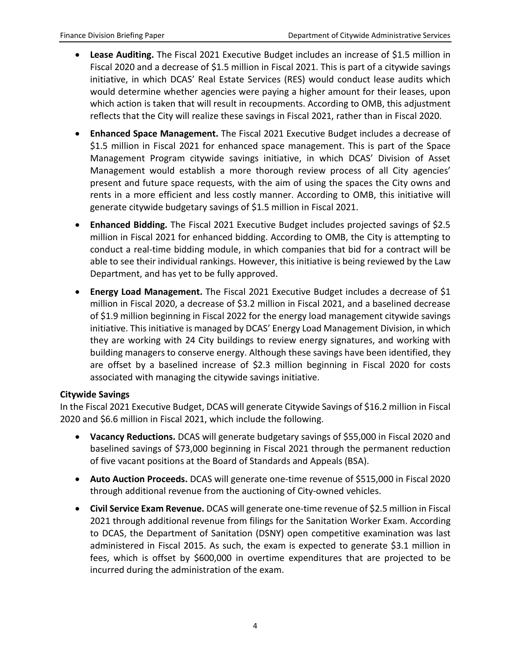- **Lease Auditing.** The Fiscal 2021 Executive Budget includes an increase of \$1.5 million in Fiscal 2020 and a decrease of \$1.5 million in Fiscal 2021. This is part of a citywide savings initiative, in which DCAS' Real Estate Services (RES) would conduct lease audits which would determine whether agencies were paying a higher amount for their leases, upon which action is taken that will result in recoupments. According to OMB, this adjustment reflects that the City will realize these savings in Fiscal 2021, rather than in Fiscal 2020.
- **Enhanced Space Management.** The Fiscal 2021 Executive Budget includes a decrease of \$1.5 million in Fiscal 2021 for enhanced space management. This is part of the Space Management Program citywide savings initiative, in which DCAS' Division of Asset Management would establish a more thorough review process of all City agencies' present and future space requests, with the aim of using the spaces the City owns and rents in a more efficient and less costly manner. According to OMB, this initiative will generate citywide budgetary savings of \$1.5 million in Fiscal 2021.
- **Enhanced Bidding.** The Fiscal 2021 Executive Budget includes projected savings of \$2.5 million in Fiscal 2021 for enhanced bidding. According to OMB, the City is attempting to conduct a real-time bidding module, in which companies that bid for a contract will be able to see their individual rankings. However, this initiative is being reviewed by the Law Department, and has yet to be fully approved.
- **Energy Load Management.** The Fiscal 2021 Executive Budget includes a decrease of \$1 million in Fiscal 2020, a decrease of \$3.2 million in Fiscal 2021, and a baselined decrease of \$1.9 million beginning in Fiscal 2022 for the energy load management citywide savings initiative. This initiative is managed by DCAS' Energy Load Management Division, in which they are working with 24 City buildings to review energy signatures, and working with building managers to conserve energy. Although these savings have been identified, they are offset by a baselined increase of \$2.3 million beginning in Fiscal 2020 for costs associated with managing the citywide savings initiative.

### **Citywide Savings**

In the Fiscal 2021 Executive Budget, DCAS will generate Citywide Savings of \$16.2 million in Fiscal 2020 and \$6.6 million in Fiscal 2021, which include the following.

- **Vacancy Reductions.** DCAS will generate budgetary savings of \$55,000 in Fiscal 2020 and baselined savings of \$73,000 beginning in Fiscal 2021 through the permanent reduction of five vacant positions at the Board of Standards and Appeals (BSA).
- **Auto Auction Proceeds.** DCAS will generate one-time revenue of \$515,000 in Fiscal 2020 through additional revenue from the auctioning of City-owned vehicles.
- **Civil Service Exam Revenue.** DCAS will generate one-time revenue of \$2.5 million in Fiscal 2021 through additional revenue from filings for the Sanitation Worker Exam. According to DCAS, the Department of Sanitation (DSNY) open competitive examination was last administered in Fiscal 2015. As such, the exam is expected to generate \$3.1 million in fees, which is offset by \$600,000 in overtime expenditures that are projected to be incurred during the administration of the exam.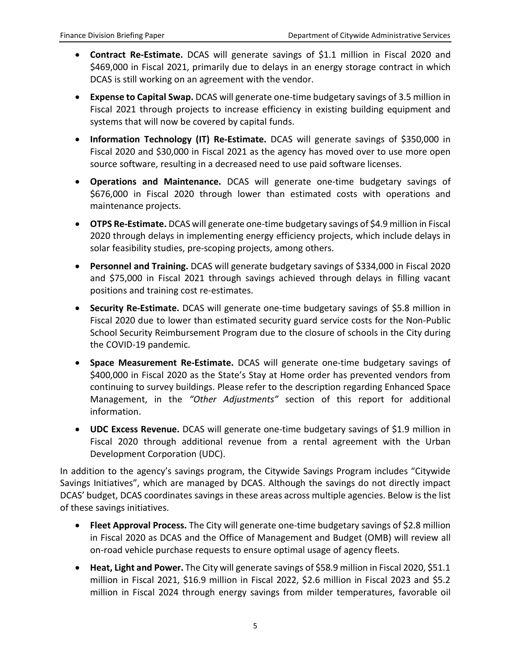- **Contract Re-Estimate.** DCAS will generate savings of \$1.1 million in Fiscal 2020 and \$469,000 in Fiscal 2021, primarily due to delays in an energy storage contract in which DCAS is still working on an agreement with the vendor.
- **Expense to Capital Swap.** DCAS will generate one-time budgetary savings of 3.5 million in Fiscal 2021 through projects to increase efficiency in existing building equipment and systems that will now be covered by capital funds.
- **Information Technology (IT) Re-Estimate.** DCAS will generate savings of \$350,000 in Fiscal 2020 and \$30,000 in Fiscal 2021 as the agency has moved over to use more open source software, resulting in a decreased need to use paid software licenses.
- **Operations and Maintenance.** DCAS will generate one-time budgetary savings of \$676,000 in Fiscal 2020 through lower than estimated costs with operations and maintenance projects.
- **OTPS Re-Estimate.** DCAS will generate one-time budgetary savings of \$4.9 million in Fiscal 2020 through delays in implementing energy efficiency projects, which include delays in solar feasibility studies, pre-scoping projects, among others.
- **Personnel and Training.** DCAS will generate budgetary savings of \$334,000 in Fiscal 2020 and \$75,000 in Fiscal 2021 through savings achieved through delays in filling vacant positions and training cost re-estimates.
- **Security Re-Estimate.** DCAS will generate one-time budgetary savings of \$5.8 million in Fiscal 2020 due to lower than estimated security guard service costs for the Non-Public School Security Reimbursement Program due to the closure of schools in the City during the COVID-19 pandemic.
- **Space Measurement Re-Estimate.** DCAS will generate one-time budgetary savings of \$400,000 in Fiscal 2020 as the State's Stay at Home order has prevented vendors from continuing to survey buildings. Please refer to the description regarding Enhanced Space Management, in the *"Other Adjustments"* section of this report for additional information.
- **UDC Excess Revenue.** DCAS will generate one-time budgetary savings of \$1.9 million in Fiscal 2020 through additional revenue from a rental agreement with the Urban Development Corporation (UDC).

In addition to the agency's savings program, the Citywide Savings Program includes "Citywide Savings Initiatives", which are managed by DCAS. Although the savings do not directly impact DCAS' budget, DCAS coordinates savings in these areas across multiple agencies. Below is the list of these savings initiatives.

- **Fleet Approval Process.** The City will generate one-time budgetary savings of \$2.8 million in Fiscal 2020 as DCAS and the Office of Management and Budget (OMB) will review all on-road vehicle purchase requests to ensure optimal usage of agency fleets.
- **Heat, Light and Power.** The City will generate savings of \$58.9 million in Fiscal 2020, \$51.1 million in Fiscal 2021, \$16.9 million in Fiscal 2022, \$2.6 million in Fiscal 2023 and \$5.2 million in Fiscal 2024 through energy savings from milder temperatures, favorable oil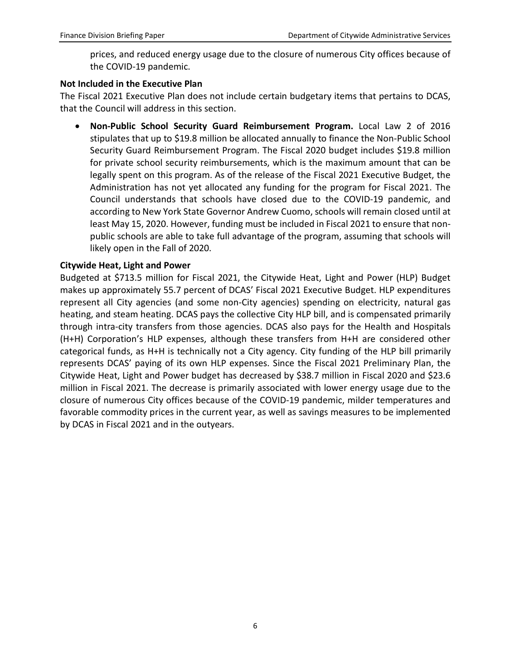prices, and reduced energy usage due to the closure of numerous City offices because of the COVID-19 pandemic.

#### **Not Included in the Executive Plan**

The Fiscal 2021 Executive Plan does not include certain budgetary items that pertains to DCAS, that the Council will address in this section.

• **Non-Public School Security Guard Reimbursement Program.** Local Law 2 of 2016 stipulates that up to \$19.8 million be allocated annually to finance the Non-Public School Security Guard Reimbursement Program. The Fiscal 2020 budget includes \$19.8 million for private school security reimbursements, which is the maximum amount that can be legally spent on this program. As of the release of the Fiscal 2021 Executive Budget, the Administration has not yet allocated any funding for the program for Fiscal 2021. The Council understands that schools have closed due to the COVID-19 pandemic, and according to New York State Governor Andrew Cuomo, schools will remain closed until at least May 15, 2020. However, funding must be included in Fiscal 2021 to ensure that nonpublic schools are able to take full advantage of the program, assuming that schools will likely open in the Fall of 2020.

#### **Citywide Heat, Light and Power**

Budgeted at \$713.5 million for Fiscal 2021, the Citywide Heat, Light and Power (HLP) Budget makes up approximately 55.7 percent of DCAS' Fiscal 2021 Executive Budget. HLP expenditures represent all City agencies (and some non-City agencies) spending on electricity, natural gas heating, and steam heating. DCAS pays the collective City HLP bill, and is compensated primarily through intra-city transfers from those agencies. DCAS also pays for the Health and Hospitals (H+H) Corporation's HLP expenses, although these transfers from H+H are considered other categorical funds, as H+H is technically not a City agency. City funding of the HLP bill primarily represents DCAS' paying of its own HLP expenses. Since the Fiscal 2021 Preliminary Plan, the Citywide Heat, Light and Power budget has decreased by \$38.7 million in Fiscal 2020 and \$23.6 million in Fiscal 2021. The decrease is primarily associated with lower energy usage due to the closure of numerous City offices because of the COVID-19 pandemic, milder temperatures and favorable commodity prices in the current year, as well as savings measures to be implemented by DCAS in Fiscal 2021 and in the outyears.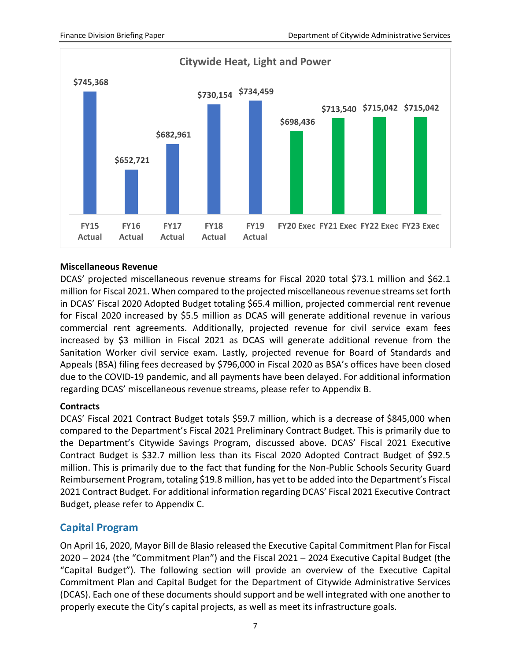

#### **Miscellaneous Revenue**

DCAS' projected miscellaneous revenue streams for Fiscal 2020 total \$73.1 million and \$62.1 million for Fiscal 2021. When compared to the projected miscellaneous revenue streams set forth in DCAS' Fiscal 2020 Adopted Budget totaling \$65.4 million, projected commercial rent revenue for Fiscal 2020 increased by \$5.5 million as DCAS will generate additional revenue in various commercial rent agreements. Additionally, projected revenue for civil service exam fees increased by \$3 million in Fiscal 2021 as DCAS will generate additional revenue from the Sanitation Worker civil service exam. Lastly, projected revenue for Board of Standards and Appeals (BSA) filing fees decreased by \$796,000 in Fiscal 2020 as BSA's offices have been closed due to the COVID-19 pandemic, and all payments have been delayed. For additional information regarding DCAS' miscellaneous revenue streams, please refer to Appendix B.

### **Contracts**

DCAS' Fiscal 2021 Contract Budget totals \$59.7 million, which is a decrease of \$845,000 when compared to the Department's Fiscal 2021 Preliminary Contract Budget. This is primarily due to the Department's Citywide Savings Program, discussed above. DCAS' Fiscal 2021 Executive Contract Budget is \$32.7 million less than its Fiscal 2020 Adopted Contract Budget of \$92.5 million. This is primarily due to the fact that funding for the Non-Public Schools Security Guard Reimbursement Program, totaling \$19.8 million, has yet to be added into the Department's Fiscal 2021 Contract Budget. For additional information regarding DCAS' Fiscal 2021 Executive Contract Budget, please refer to Appendix C.

# **Capital Program**

On April 16, 2020, Mayor Bill de Blasio released the Executive Capital Commitment Plan for Fiscal 2020 – 2024 (the "Commitment Plan") and the Fiscal 2021 – 2024 Executive Capital Budget (the "Capital Budget"). The following section will provide an overview of the Executive Capital Commitment Plan and Capital Budget for the Department of Citywide Administrative Services (DCAS). Each one of these documents should support and be well integrated with one another to properly execute the City's capital projects, as well as meet its infrastructure goals.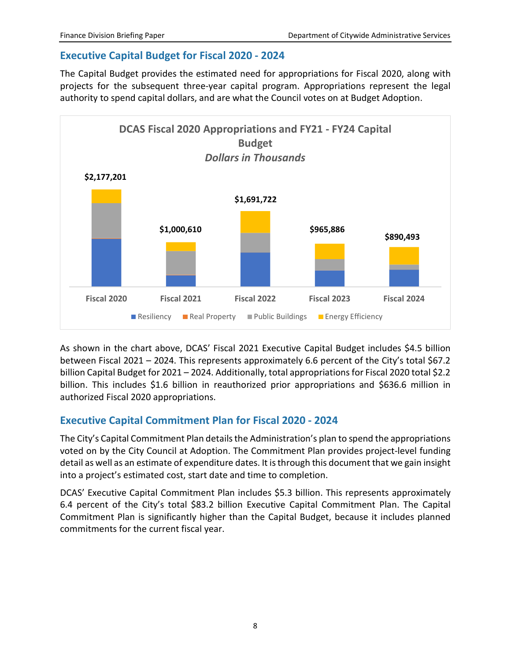# **Executive Capital Budget for Fiscal 2020 - 2024**

The Capital Budget provides the estimated need for appropriations for Fiscal 2020, along with projects for the subsequent three-year capital program. Appropriations represent the legal authority to spend capital dollars, and are what the Council votes on at Budget Adoption.



As shown in the chart above, DCAS' Fiscal 2021 Executive Capital Budget includes \$4.5 billion between Fiscal 2021 – 2024. This represents approximately 6.6 percent of the City's total \$67.2 billion Capital Budget for 2021 – 2024. Additionally, total appropriations for Fiscal 2020 total \$2.2 billion. This includes \$1.6 billion in reauthorized prior appropriations and \$636.6 million in authorized Fiscal 2020 appropriations.

# **Executive Capital Commitment Plan for Fiscal 2020 - 2024**

The City's Capital Commitment Plan details the Administration's plan to spend the appropriations voted on by the City Council at Adoption. The Commitment Plan provides project-level funding detail as well as an estimate of expenditure dates. It is through this document that we gain insight into a project's estimated cost, start date and time to completion.

DCAS' Executive Capital Commitment Plan includes \$5.3 billion. This represents approximately 6.4 percent of the City's total \$83.2 billion Executive Capital Commitment Plan. The Capital Commitment Plan is significantly higher than the Capital Budget, because it includes planned commitments for the current fiscal year.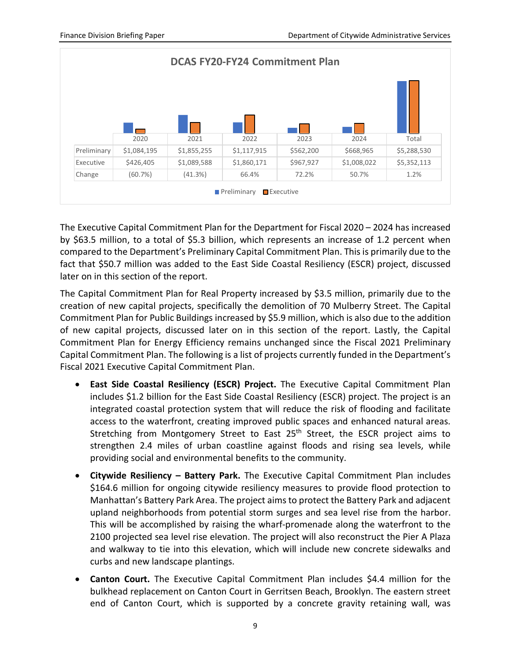

The Executive Capital Commitment Plan for the Department for Fiscal 2020 – 2024 has increased by \$63.5 million, to a total of \$5.3 billion, which represents an increase of 1.2 percent when compared to the Department's Preliminary Capital Commitment Plan. This is primarily due to the fact that \$50.7 million was added to the East Side Coastal Resiliency (ESCR) project, discussed later on in this section of the report.

The Capital Commitment Plan for Real Property increased by \$3.5 million, primarily due to the creation of new capital projects, specifically the demolition of 70 Mulberry Street. The Capital Commitment Plan for Public Buildings increased by \$5.9 million, which is also due to the addition of new capital projects, discussed later on in this section of the report. Lastly, the Capital Commitment Plan for Energy Efficiency remains unchanged since the Fiscal 2021 Preliminary Capital Commitment Plan. The following is a list of projects currently funded in the Department's Fiscal 2021 Executive Capital Commitment Plan.

- **East Side Coastal Resiliency (ESCR) Project.** The Executive Capital Commitment Plan includes \$1.2 billion for the East Side Coastal Resiliency (ESCR) project. The project is an integrated coastal protection system that will reduce the risk of flooding and facilitate access to the waterfront, creating improved public spaces and enhanced natural areas. Stretching from Montgomery Street to East 25<sup>th</sup> Street, the ESCR project aims to strengthen 2.4 miles of urban coastline against floods and rising sea levels, while providing social and environmental benefits to the community.
- **Citywide Resiliency – Battery Park.** The Executive Capital Commitment Plan includes \$164.6 million for ongoing citywide resiliency measures to provide flood protection to Manhattan's Battery Park Area. The project aims to protect the Battery Park and adjacent upland neighborhoods from potential storm surges and sea level rise from the harbor. This will be accomplished by raising the wharf-promenade along the waterfront to the 2100 projected sea level rise elevation. The project will also reconstruct the Pier A Plaza and walkway to tie into this elevation, which will include new concrete sidewalks and curbs and new landscape plantings.
- **Canton Court.** The Executive Capital Commitment Plan includes \$4.4 million for the bulkhead replacement on Canton Court in Gerritsen Beach, Brooklyn. The eastern street end of Canton Court, which is supported by a concrete gravity retaining wall, was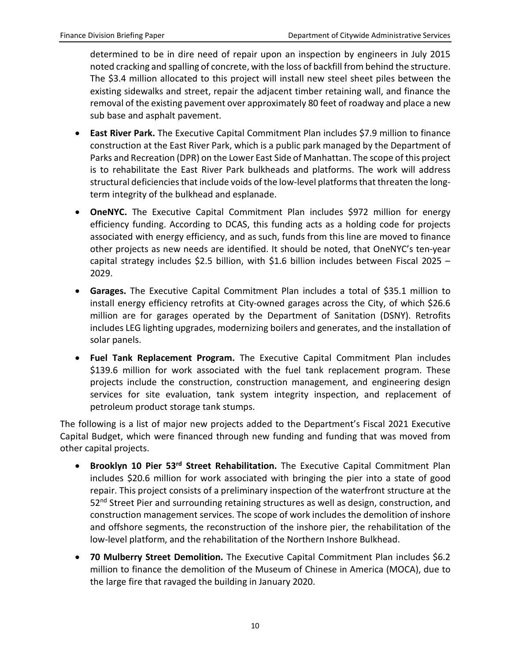determined to be in dire need of repair upon an inspection by engineers in July 2015 noted cracking and spalling of concrete, with the loss of backfill from behind the structure. The \$3.4 million allocated to this project will install new steel sheet piles between the existing sidewalks and street, repair the adjacent timber retaining wall, and finance the removal of the existing pavement over approximately 80 feet of roadway and place a new sub base and asphalt pavement.

- **East River Park.** The Executive Capital Commitment Plan includes \$7.9 million to finance construction at the East River Park, which is a public park managed by the Department of Parks and Recreation (DPR) on the Lower East Side of Manhattan. The scope of this project is to rehabilitate the East River Park bulkheads and platforms. The work will address structural deficiencies that include voids of the low-level platforms that threaten the longterm integrity of the bulkhead and esplanade.
- **OneNYC.** The Executive Capital Commitment Plan includes \$972 million for energy efficiency funding. According to DCAS, this funding acts as a holding code for projects associated with energy efficiency, and as such, funds from this line are moved to finance other projects as new needs are identified. It should be noted, that OneNYC's ten-year capital strategy includes \$2.5 billion, with \$1.6 billion includes between Fiscal 2025 – 2029.
- **Garages.** The Executive Capital Commitment Plan includes a total of \$35.1 million to install energy efficiency retrofits at City-owned garages across the City, of which \$26.6 million are for garages operated by the Department of Sanitation (DSNY). Retrofits includes LEG lighting upgrades, modernizing boilers and generates, and the installation of solar panels.
- **Fuel Tank Replacement Program.** The Executive Capital Commitment Plan includes \$139.6 million for work associated with the fuel tank replacement program. These projects include the construction, construction management, and engineering design services for site evaluation, tank system integrity inspection, and replacement of petroleum product storage tank stumps.

The following is a list of major new projects added to the Department's Fiscal 2021 Executive Capital Budget, which were financed through new funding and funding that was moved from other capital projects.

- **Brooklyn 10 Pier 53rd Street Rehabilitation.** The Executive Capital Commitment Plan includes \$20.6 million for work associated with bringing the pier into a state of good repair. This project consists of a preliminary inspection of the waterfront structure at the 52<sup>nd</sup> Street Pier and surrounding retaining structures as well as design, construction, and construction management services. The scope of work includes the demolition of inshore and offshore segments, the reconstruction of the inshore pier, the rehabilitation of the low-level platform, and the rehabilitation of the Northern Inshore Bulkhead.
- **70 Mulberry Street Demolition.** The Executive Capital Commitment Plan includes \$6.2 million to finance the demolition of the Museum of Chinese in America (MOCA), due to the large fire that ravaged the building in January 2020.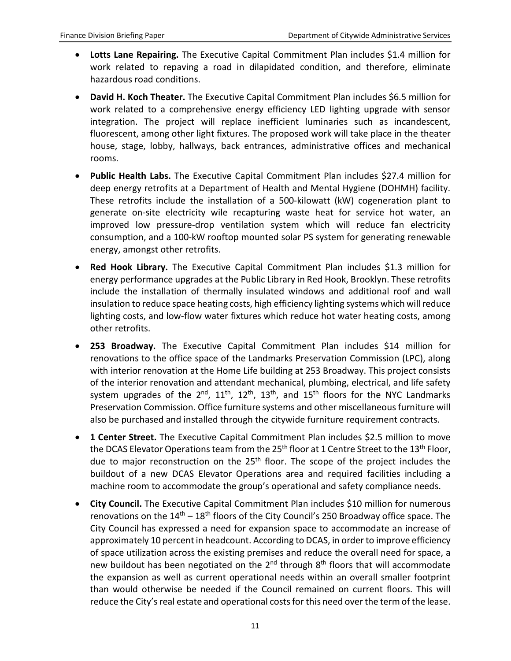- **Lotts Lane Repairing.** The Executive Capital Commitment Plan includes \$1.4 million for work related to repaving a road in dilapidated condition, and therefore, eliminate hazardous road conditions.
- **David H. Koch Theater.** The Executive Capital Commitment Plan includes \$6.5 million for work related to a comprehensive energy efficiency LED lighting upgrade with sensor integration. The project will replace inefficient luminaries such as incandescent, fluorescent, among other light fixtures. The proposed work will take place in the theater house, stage, lobby, hallways, back entrances, administrative offices and mechanical rooms.
- **Public Health Labs.** The Executive Capital Commitment Plan includes \$27.4 million for deep energy retrofits at a Department of Health and Mental Hygiene (DOHMH) facility. These retrofits include the installation of a 500-kilowatt (kW) cogeneration plant to generate on-site electricity wile recapturing waste heat for service hot water, an improved low pressure-drop ventilation system which will reduce fan electricity consumption, and a 100-kW rooftop mounted solar PS system for generating renewable energy, amongst other retrofits.
- **Red Hook Library.** The Executive Capital Commitment Plan includes \$1.3 million for energy performance upgrades at the Public Library in Red Hook, Brooklyn. These retrofits include the installation of thermally insulated windows and additional roof and wall insulation to reduce space heating costs, high efficiency lighting systems which will reduce lighting costs, and low-flow water fixtures which reduce hot water heating costs, among other retrofits.
- **253 Broadway.** The Executive Capital Commitment Plan includes \$14 million for renovations to the office space of the Landmarks Preservation Commission (LPC), along with interior renovation at the Home Life building at 253 Broadway. This project consists of the interior renovation and attendant mechanical, plumbing, electrical, and life safety system upgrades of the  $2^{nd}$ ,  $11^{th}$ ,  $12^{th}$ ,  $13^{th}$ , and  $15^{th}$  floors for the NYC Landmarks Preservation Commission. Office furniture systems and other miscellaneous furniture will also be purchased and installed through the citywide furniture requirement contracts.
- **1 Center Street.** The Executive Capital Commitment Plan includes \$2.5 million to move the DCAS Elevator Operations team from the 25<sup>th</sup> floor at 1 Centre Street to the 13<sup>th</sup> Floor, due to major reconstruction on the 25<sup>th</sup> floor. The scope of the project includes the buildout of a new DCAS Elevator Operations area and required facilities including a machine room to accommodate the group's operational and safety compliance needs.
- **City Council.** The Executive Capital Commitment Plan includes \$10 million for numerous renovations on the  $14<sup>th</sup> - 18<sup>th</sup>$  floors of the City Council's 250 Broadway office space. The City Council has expressed a need for expansion space to accommodate an increase of approximately 10 percent in headcount. According to DCAS, in order to improve efficiency of space utilization across the existing premises and reduce the overall need for space, a new buildout has been negotiated on the  $2^{nd}$  through  $8^{th}$  floors that will accommodate the expansion as well as current operational needs within an overall smaller footprint than would otherwise be needed if the Council remained on current floors. This will reduce the City's real estate and operational costs for this need over the term of the lease.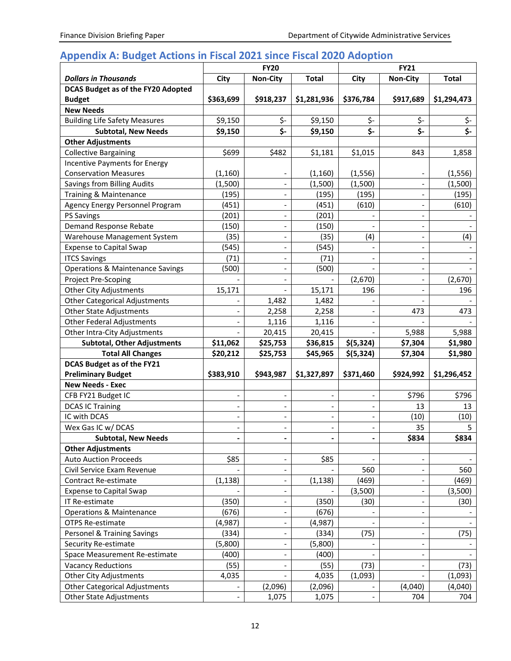# **Appendix A: Budget Actions in Fiscal 2021 since Fiscal 2020 Adoption**

|                                      | <b>FY20</b>              |                              |                              | <b>FY21</b>                  |                              |                         |  |
|--------------------------------------|--------------------------|------------------------------|------------------------------|------------------------------|------------------------------|-------------------------|--|
| <b>Dollars in Thousands</b>          | City                     | <b>Non-City</b>              | <b>Total</b>                 | City                         | <b>Non-City</b>              | <b>Total</b>            |  |
| DCAS Budget as of the FY20 Adopted   |                          |                              |                              |                              |                              |                         |  |
| <b>Budget</b>                        | \$363,699                | \$918,237                    | \$1,281,936                  | \$376,784                    | \$917,689                    | \$1,294,473             |  |
| <b>New Needs</b>                     |                          |                              |                              |                              |                              |                         |  |
| <b>Building Life Safety Measures</b> | \$9,150                  | \$-                          | \$9,150                      | \$-                          | \$-                          | \$-                     |  |
| <b>Subtotal, New Needs</b>           | \$9,150                  | \$-                          | \$9,150                      | \$-                          | \$-                          | $\overline{\mathsf{S}}$ |  |
| <b>Other Adjustments</b>             |                          |                              |                              |                              |                              |                         |  |
| <b>Collective Bargaining</b>         | \$699                    | \$482                        | \$1,181                      | \$1,015                      | 843                          | 1,858                   |  |
| <b>Incentive Payments for Energy</b> |                          |                              |                              |                              |                              |                         |  |
| <b>Conservation Measures</b>         | (1, 160)                 |                              | (1, 160)                     | (1, 556)                     |                              | (1, 556)                |  |
| Savings from Billing Audits          | (1,500)                  | $\overline{a}$               | (1,500)                      | (1,500)                      |                              | (1,500)                 |  |
| Training & Maintenance               | (195)                    | $\overline{a}$               | (195)                        | (195)                        |                              | (195)                   |  |
| Agency Energy Personnel Program      | (451)                    | $\overline{a}$               | (451)                        | (610)                        |                              | (610)                   |  |
| <b>PS Savings</b>                    | (201)                    | $\overline{\phantom{0}}$     | (201)                        |                              |                              |                         |  |
| Demand Response Rebate               | (150)                    | $\qquad \qquad \blacksquare$ | (150)                        |                              | $\overline{\phantom{a}}$     |                         |  |
| Warehouse Management System          | (35)                     | $\qquad \qquad \blacksquare$ | (35)                         | (4)                          | $\overline{\phantom{a}}$     | (4)                     |  |
| <b>Expense to Capital Swap</b>       | (545)                    |                              | (545)                        |                              |                              |                         |  |
| <b>ITCS Savings</b>                  | (71)                     |                              | (71)                         |                              |                              |                         |  |
| Operations & Maintenance Savings     | (500)                    | $\qquad \qquad \blacksquare$ | (500)                        |                              |                              |                         |  |
| Project Pre-Scoping                  |                          |                              |                              | (2,670)                      |                              | (2,670)                 |  |
| <b>Other City Adjustments</b>        | 15,171                   |                              | 15,171                       | 196                          |                              | 196                     |  |
| <b>Other Categorical Adjustments</b> |                          | 1,482                        | 1,482                        |                              |                              |                         |  |
| <b>Other State Adjustments</b>       |                          | 2,258                        | 2,258                        | $\qquad \qquad \blacksquare$ | 473                          | 473                     |  |
| <b>Other Federal Adjustments</b>     |                          | 1,116                        | 1,116                        | $\overline{\phantom{a}}$     |                              |                         |  |
| Other Intra-City Adjustments         |                          | 20,415                       | 20,415                       |                              | 5,988                        | 5,988                   |  |
| <b>Subtotal, Other Adjustments</b>   | \$11,062                 | \$25,753                     | \$36,815                     | \$(5,324)                    | \$7,304                      | \$1,980                 |  |
| <b>Total All Changes</b>             | \$20,212                 | \$25,753                     | \$45,965                     | \$(5,324)                    | \$7,304                      | \$1,980                 |  |
| DCAS Budget as of the FY21           |                          |                              |                              |                              |                              |                         |  |
| <b>Preliminary Budget</b>            | \$383,910                | \$943,987                    | \$1,327,897                  | \$371,460                    | \$924,992                    | \$1,296,452             |  |
| <b>New Needs - Exec</b>              |                          |                              |                              |                              |                              |                         |  |
| CFB FY21 Budget IC                   | $\overline{\phantom{a}}$ | $\overline{\phantom{0}}$     | $\overline{\phantom{0}}$     | $\qquad \qquad \blacksquare$ | \$796                        | \$796                   |  |
| <b>DCAS IC Training</b>              |                          | $\overline{\phantom{a}}$     | $\qquad \qquad \blacksquare$ | -                            | 13                           | 13                      |  |
| IC with DCAS                         | $\overline{\phantom{a}}$ | $\overline{\phantom{0}}$     | $\qquad \qquad \blacksquare$ | $\overline{\phantom{0}}$     | (10)                         | (10)                    |  |
| Wex Gas IC w/ DCAS                   |                          |                              |                              | $\overline{\phantom{0}}$     | 35                           | 5                       |  |
| <b>Subtotal, New Needs</b>           |                          |                              |                              |                              | \$834                        | \$834                   |  |
| <b>Other Adjustments</b>             |                          |                              |                              |                              |                              |                         |  |
| <b>Auto Auction Proceeds</b>         | \$85                     | $\overline{a}$               | \$85                         |                              |                              |                         |  |
| Civil Service Exam Revenue           |                          |                              |                              | 560                          |                              | 560                     |  |
| Contract Re-estimate                 | (1, 138)                 | $\overline{\phantom{a}}$     | (1, 138)                     | (469)                        |                              | (469)                   |  |
| <b>Expense to Capital Swap</b>       |                          | $\overline{\phantom{0}}$     |                              | (3,500)                      | $\qquad \qquad \blacksquare$ | (3,500)                 |  |
| IT Re-estimate                       | (350)                    | $\qquad \qquad \blacksquare$ | (350)                        | (30)                         | $\overline{\phantom{a}}$     | (30)                    |  |
| <b>Operations &amp; Maintenance</b>  | (676)                    | $\overline{\phantom{0}}$     | (676)                        |                              | $\overline{\phantom{a}}$     |                         |  |
| OTPS Re-estimate                     | (4,987)                  | -                            | (4,987)                      |                              |                              |                         |  |
| Personel & Training Savings          | (334)                    | $\overline{a}$               | (334)                        | (75)                         |                              | (75)                    |  |
| Security Re-estimate                 | (5,800)                  | $\qquad \qquad \blacksquare$ | (5,800)                      |                              |                              |                         |  |
| Space Measurement Re-estimate        | (400)                    | $\overline{a}$               | (400)                        |                              | $\overline{\phantom{a}}$     |                         |  |
| <b>Vacancy Reductions</b>            | (55)                     |                              | (55)                         | (73)                         |                              | (73)                    |  |
| <b>Other City Adjustments</b>        | 4,035                    |                              | 4,035                        | (1,093)                      |                              | (1,093)                 |  |
| <b>Other Categorical Adjustments</b> |                          | (2,096)                      | (2,096)                      |                              | (4,040)                      | (4,040)                 |  |
| <b>Other State Adjustments</b>       | $\overline{\phantom{a}}$ | 1,075                        | 1,075                        | $\overline{\phantom{a}}$     | 704                          | 704                     |  |
|                                      |                          |                              |                              |                              |                              |                         |  |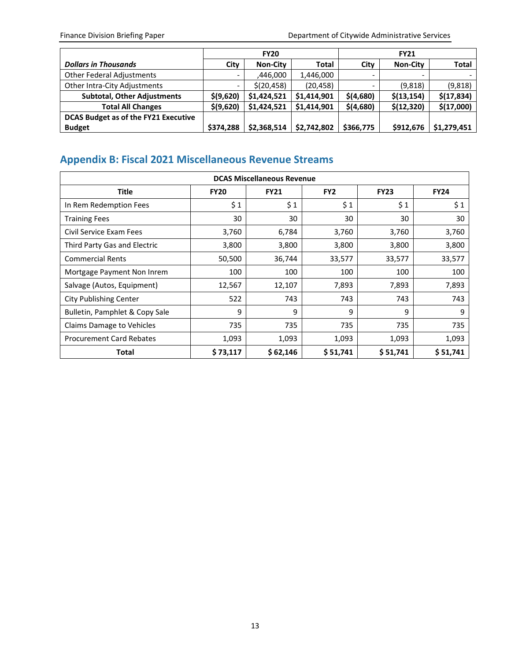|                                      |                          | <b>FY20</b>     |             | <b>FY21</b>              |                 |              |
|--------------------------------------|--------------------------|-----------------|-------------|--------------------------|-----------------|--------------|
| <b>Dollars in Thousands</b>          | City                     | <b>Non-City</b> | Total       | City                     | <b>Non-City</b> | <b>Total</b> |
| <b>Other Federal Adjustments</b>     | $\overline{\phantom{0}}$ | ,446,000        | 1,446,000   | $\overline{\phantom{0}}$ |                 |              |
| Other Intra-City Adjustments         |                          | \$(20, 458)     | (20, 458)   | $\overline{\phantom{0}}$ | (9,818)         | (9,818)      |
| <b>Subtotal, Other Adjustments</b>   | \$(9,620)                | \$1,424,521     | \$1,414,901 | \$(4,680)                | \$(13, 154)     | \$(17,834)   |
| <b>Total All Changes</b>             | \$(9,620)                | \$1,424,521     | \$1,414,901 | \$(4,680)                | \$(12,320)      | \$(17,000)   |
| DCAS Budget as of the FY21 Executive |                          |                 |             |                          |                 |              |
| <b>Budget</b>                        | \$374,288                | \$2,368,514     | \$2,742,802 | \$366,775                | \$912,676       | \$1,279,451  |

# **Appendix B: Fiscal 2021 Miscellaneous Revenue Streams**

| <b>DCAS Miscellaneous Revenue</b> |             |             |                 |             |             |  |  |  |
|-----------------------------------|-------------|-------------|-----------------|-------------|-------------|--|--|--|
| <b>Title</b>                      | <b>FY20</b> | <b>FY21</b> | FY <sub>2</sub> | <b>FY23</b> | <b>FY24</b> |  |  |  |
| In Rem Redemption Fees            | \$1         | \$1         | \$1             | \$1         | \$1         |  |  |  |
| <b>Training Fees</b>              | 30          | 30          | 30              | 30          | 30          |  |  |  |
| Civil Service Exam Fees           | 3,760       | 6,784       | 3,760           | 3,760       | 3,760       |  |  |  |
| Third Party Gas and Electric      | 3,800       | 3,800       | 3,800           | 3,800       | 3,800       |  |  |  |
| <b>Commercial Rents</b>           | 50,500      | 36,744      | 33,577          | 33,577      | 33,577      |  |  |  |
| Mortgage Payment Non Inrem        | 100         | 100         | 100             | 100         | 100         |  |  |  |
| Salvage (Autos, Equipment)        | 12,567      | 12,107      | 7,893           | 7,893       | 7,893       |  |  |  |
| <b>City Publishing Center</b>     | 522         | 743         | 743             | 743         | 743         |  |  |  |
| Bulletin, Pamphlet & Copy Sale    | 9           | 9           | 9               | 9           | 9           |  |  |  |
| Claims Damage to Vehicles         | 735         | 735         | 735             | 735         | 735         |  |  |  |
| <b>Procurement Card Rebates</b>   | 1,093       | 1,093       | 1,093           | 1,093       | 1,093       |  |  |  |
| Total                             | \$73,117    | \$62,146    | \$51,741        | \$51,741    | \$51,741    |  |  |  |